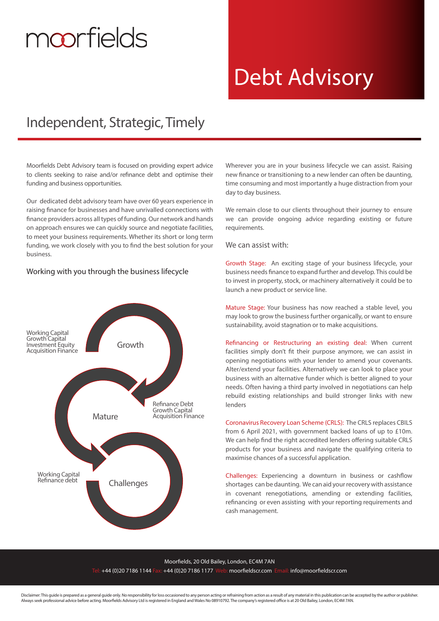# moorfields

## Debt Advisory

### Independent, Strategic, Timely

Moorfields Debt Advisory team is focused on providing expert advice to clients seeking to raise and/or refinance debt and optimise their funding and business opportunities.

Our dedicated debt advisory team have over 60 years experience in raising finance for businesses and have unrivalled connections with finance providers across all types of funding. Our network and hands on approach ensures we can quickly source and negotiate facilities, to meet your business requirements. Whether its short or long term funding, we work closely with you to find the best solution for your business.

### Working with you through the business lifecycle



Wherever you are in your business lifecycle we can assist. Raising new finance or transitioning to a new lender can often be daunting, time consuming and most importantly a huge distraction from your day to day business.

We remain close to our clients throughout their journey to ensure we can provide ongoing advice regarding existing or future requirements.

We can assist with:

Growth Stage: An exciting stage of your business lifecycle, your business needs finance to expand further and develop. This could be to invest in property, stock, or machinery alternatively it could be to launch a new product or service line.

Mature Stage: Your business has now reached a stable level, you may look to grow the business further organically, or want to ensure sustainability, avoid stagnation or to make acquisitions.

Refinancing or Restructuring an existing deal: When current facilities simply don't fit their purpose anymore, we can assist in opening negotiations with your lender to amend your covenants. Alter/extend your facilities. Alternatively we can look to place your business with an alternative funder which is better aligned to your needs. Often having a third party involved in negotiations can help rebuild existing relationships and build stronger links with new lenders

Coronavirus Recovery Loan Scheme (CRLS): The CRLS replaces CBILS from 6 April 2021, with government backed loans of up to £10m. We can help find the right accredited lenders offering suitable CRLS products for your business and navigate the qualifying criteria to maximise chances of a successful application.

Challenges: Experiencing a downturn in business or cashflow shortages can be daunting. We can aid your recovery with assistance in covenant renegotiations, amending or extending facilities, refinancing or even assisting with your reporting requirements and cash management.

### Moorfields, 20 Old Bailey, London, EC4M 7AN l: +44 (0)20 7186 1144 Fax: +44 (0)20 7186 1177 Web: moorfieldscr.com Email: info@moorfieldscr.com

Disclaimer: This quide is prepared as a general quide only. No responsibility for loss occasioned to any person acting or refraining from action as a result of any material in this publication can be accepted by the author Always seek professional advice before acting. Moorfields Advisory Ltd is registered in England and Wales No 08910792. The company's registered office is at 20 Old Bailey, London, EC4M 7AN.